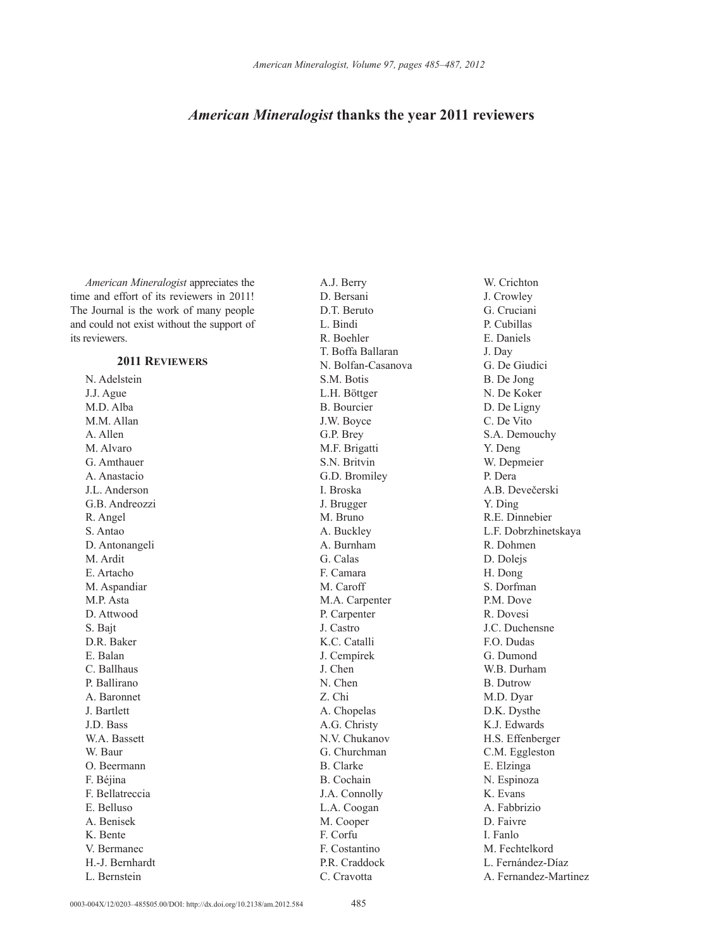## *American Mineralogist* **thanks the year 2011 reviewers**

*American Mineralogist* appreciates the time and effort of its reviewers in 2011! The Journal is the work of many people and could not exist without the support of its reviewers.

## **2011 Reviewers**

N. Adelstein J.J. Ague M.D. Alba M.M. Allan A. Allen M. Alvaro G. Amthauer A. Anastacio J.L. Anderson G.B. Andreozzi R. Angel S. Antao D. Antonangeli M. Ardit E. Artacho M. Aspandiar M.P. Asta D. Attwood S. Bajt D.R. Baker E. Balan C. Ballhaus P. Ballirano A. Baronnet J. Bartlett J.D. Bass W.A. Bassett W. Baur O. Beermann F. Béjina F. Bellatreccia E. Belluso A. Benisek K. Bente V. Bermanec H.-J. Bernhardt L. Bernstein

A.J. Berry D. Bersani D.T. Beruto L. Bindi R. Boehler T. Boffa Ballaran N. Bolfan-Casanova S.M. Botis L.H. Böttger B. Bourcier J.W. Boyce G.P. Brey M.F. Brigatti S.N. Britvin G.D. Bromiley I. Broska J. Brugger M. Bruno A. Buckley A. Burnham G. Calas F. Camara M. Caroff M.A. Carpenter P. Carpenter J. Castro K.C. Catalli J. Cempírek J. Chen N. Chen Z. Chi A. Chopelas A.G. Christy N.V. Chukanov G. Churchman B. Clarke B. Cochain J.A. Connolly L.A. Coogan M. Cooper F. Corfu F. Costantino P.R. Craddock C. Cravotta

W. Crichton J. Crowley G. Cruciani P. Cubillas E. Daniels J. Day G. De Giudici B. De Jong N. De Koker D. De Ligny C. De Vito S.A. Demouchy Y. Deng W. Depmeier P. Dera A.B. Devečerski Y. Ding R.E. Dinnebier L.F. Dobrzhinetskaya R. Dohmen D. Dolejs H. Dong S. Dorfman P.M. Dove R. Dovesi J.C. Duchensne F.O. Dudas G. Dumond W.B. Durham B. Dutrow M.D. Dyar D.K. Dysthe K.J. Edwards H.S. Effenberger C.M. Eggleston E. Elzinga N. Espinoza K. Evans A. Fabbrizio D. Faivre I. Fanlo M. Fechtelkord L. Fernández-Díaz A. Fernandez-Martinez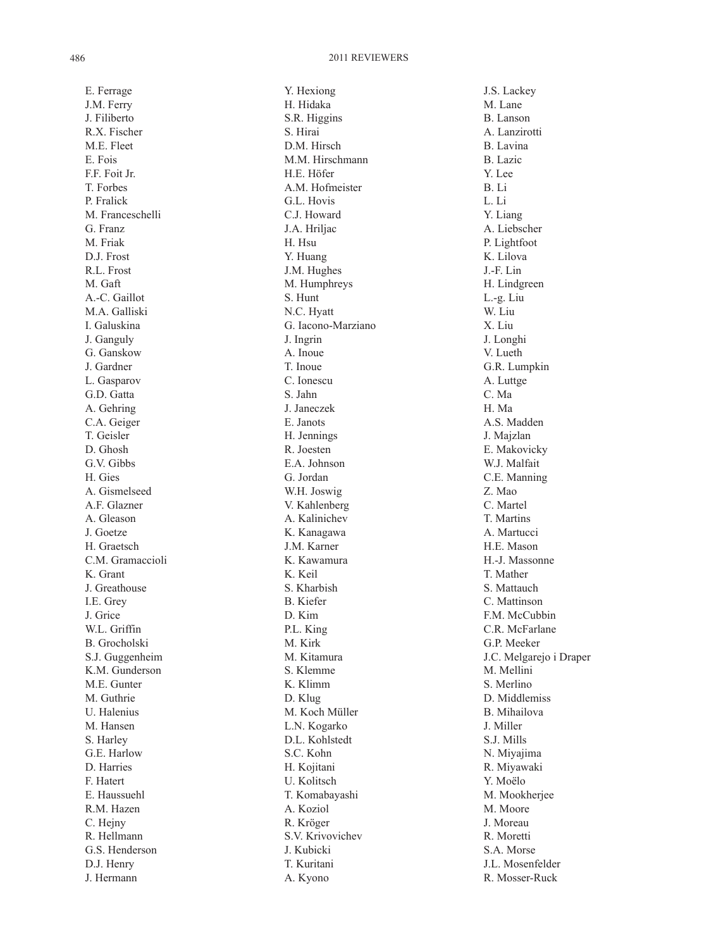E. Ferrage J.M. Ferry J. Filiberto R.X. Fischer M.E. Fleet E. Fois F.F. Foit Jr. T. Forbes P. Fralick M. Franceschelli G. Franz M. Friak D.J. Frost R.L. Frost M. Gaft A.-C. Gaillot M.A. Galliski I. Galuskina J. Ganguly G. Ganskow J. Gardner L. Gasparov G.D. Gatta A. Gehring C.A. Geiger T. Geisler D. Ghosh G.V. Gibbs H. Gies A. Gismelseed A.F. Glazner A. Gleason J. Goetze H. Graetsch C.M. Gramaccioli K. Grant J. Greathouse I.E. Grey J. Grice W.L. Griffin B. Grocholski S.J. Guggenheim K.M. Gunderson M.E. Gunter M. Guthrie U. Halenius M. Hansen S. Harley G.E. Harlow D. Harries F. Hatert E. Haussuehl R.M. Hazen C. Hejny R. Hellmann G.S. Henderson D.J. Henry J. Hermann

Y. Hexiong H. Hidaka S.R. Higgins S. Hirai D.M. Hirsch M.M. Hirschmann H.E. Höfer A.M. Hofmeister G.L. Hovis C.J. Howard J.A. Hriljac H. Hsu Y. Huang J.M. Hughes M. Humphreys S. Hunt N.C. Hyatt G. Iacono-Marziano J. Ingrin A. Inoue T. Inoue C. Ionescu S. Jahn J. Janeczek E. Janots H. Jennings R. Joesten E.A. Johnson G. Jordan W.H. Joswig V. Kahlenberg A. Kalinichev K. Kanagawa J.M. Karner K. Kawamura K. Keil S. Kharbish B. Kiefer D. Kim P.L. King M. Kirk M. Kitamura S. Klemme K. Klimm D. Klug M. Koch Müller L.N. Kogarko D.L. Kohlstedt S.C. Kohn H. Kojitani U. Kolitsch T. Komabayashi A. Koziol R. Kröger S.V. Krivovichev J. Kubicki T. Kuritani A. Kyono

J.S. Lackey M. Lane B. Lanson A. Lanzirotti B. Lavina B. Lazic Y. Lee B. Li L. Li Y. Liang A. Liebscher P. Lightfoot K. Lilova J.-F. Lin H. Lindgreen L.-g. Liu W. Liu X. Liu J. Longhi V. Lueth G.R. Lumpkin A. Luttge C. Ma H. Ma A.S. Madden J. Majzlan E. Makovicky W.J. Malfait C.E. Manning Z. Mao C. Martel T. Martins A. Martucci H.E. Mason H.-J. Massonne T. Mather S. Mattauch C. Mattinson F.M. McCubbin C.R. McFarlane G.P. Meeker J.C. Melgarejo i Draper M. Mellini S. Merlino D. Middlemiss B. Mihailova J. Miller S.J. Mills N. Miyajima R. Miyawaki Y. Moëlo M. Mookherjee M. Moore J. Moreau R. Moretti S.A. Morse J.L. Mosenfelder R. Mosser-Ruck